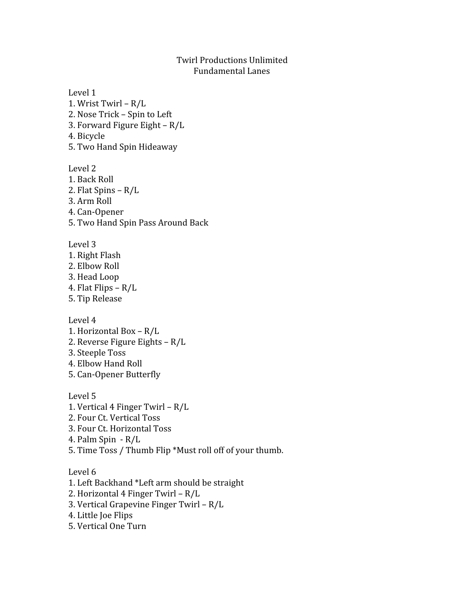## Twirl Productions Unlimited Fundamental Lanes

Level 1 1. Wrist Twirl – R/L 2. Nose Trick – Spin to Left 3. Forward Figure Eight – R/L 4. Bicycle 5. Two Hand Spin Hideaway Level 2 1. Back Roll 2. Flat Spins – R/L 3. Arm Roll

- 4. Can-Opener
- 5. Two Hand Spin Pass Around Back

Level 3

1. Right Flash 2. Elbow Roll 3. Head Loop 4. Flat Flips – R/L 5. Tip Release

Level 4

1. Horizontal Box – R/L

- 2. Reverse Figure Eights R/L
- 3. Steeple Toss

4. Elbow Hand Roll

5. Can-Opener Butterfly

Level 5 1. Vertical 4 Finger Twirl – R/L 2. Four Ct. Vertical Toss 3. Four Ct. Horizontal Toss 4. Palm Spin - R/L 5. Time Toss / Thumb Flip \*Must roll off of your thumb.

Level 6

1. Left Backhand \*Left arm should be straight 2. Horizontal 4 Finger Twirl – R/L

- 3. Vertical Grapevine Finger Twirl R/L
- 4. Little Joe Flips
- 5. Vertical One Turn